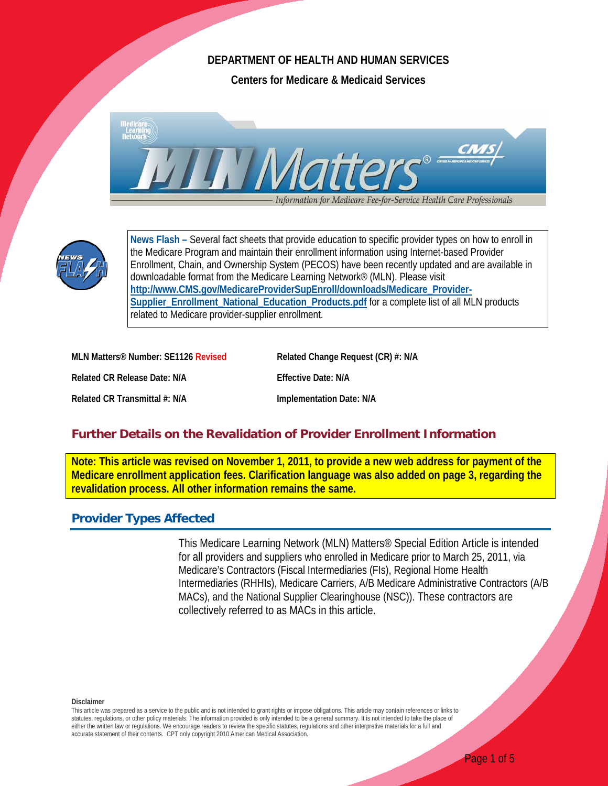## **DEPARTMENT OF HEALTH AND HUMAN SERVICES**

**Centers for Medicare & Medicaid Services**





**News Flash –** Several fact sheets that provide education to specific provider types on how to enroll in the Medicare Program and maintain their enrollment information using Internet-based Provider Enrollment, Chain, and Ownership System (PECOS) have been recently updated and are available in downloadable format from the Medicare Learning Network® (MLN). Please visit **[http://www.CMS.gov/MedicareProviderSupEnroll/downloads/Medicare\\_Provider-](http://www.cms.gov/MedicareProviderSupEnroll/downloads/Medicare_Provider-Supplier_Enrollment_National_Education_Products.pdf)[Supplier\\_Enrollment\\_National\\_Education\\_Products.pdf](http://www.cms.gov/MedicareProviderSupEnroll/downloads/Medicare_Provider-Supplier_Enrollment_National_Education_Products.pdf)** for a complete list of all MLN products related to Medicare provider-supplier enrollment.

| MLN Matters <sup>®</sup> Number: SE1126 Revis |
|-----------------------------------------------|
| <b>Related CR Release Date: N/A</b>           |
| Related CR Transmittal #: N/A                 |

**MRELARED REPARED REGISTS RELATED RELATED REPORTS REPORT AND RELATED REPORTS REPORTS AREA PROPERTY REPORTS RELATED RELATIONS REPORTS RELATIONS REPORTS RELATIONS RELATIONS RELATIONS RELATIONS RELATIONS RELATIONS RELATIONS R** 

**Effective Date: N/A** 

**Implementation Date: N/A** 

# **Further Details on the Revalidation of Provider Enrollment Information**

**Note: This article was revised on November 1, 2011, to provide a new web address for payment of the Medicare enrollment application fees. Clarification language was also added on page 3, regarding the revalidation process. All other information remains the same.**

# **Provider Types Affected**

This Medicare Learning Network (MLN) Matters® Special Edition Article is intended for all providers and suppliers who enrolled in Medicare prior to March 25, 2011, via Medicare's Contractors (Fiscal Intermediaries (FIs), Regional Home Health Intermediaries (RHHIs), Medicare Carriers, A/B Medicare Administrative Contractors (A/B MACs), and the National Supplier Clearinghouse (NSC)). These contractors are collectively referred to as MACs in this article.

**Disclaimer**

This article was prepared as a service to the public and is not intended to grant rights or impose obligations. This article may contain references or links to statutes, regulations, or other policy materials. The information provided is only intended to be a general summary. It is not intended to take the place of either the written law or regulations. We encourage readers to review the specific statutes, regulations and other interpretive materials for a full and accurate statement of their contents. CPT only copyright 2010 American Medical Association.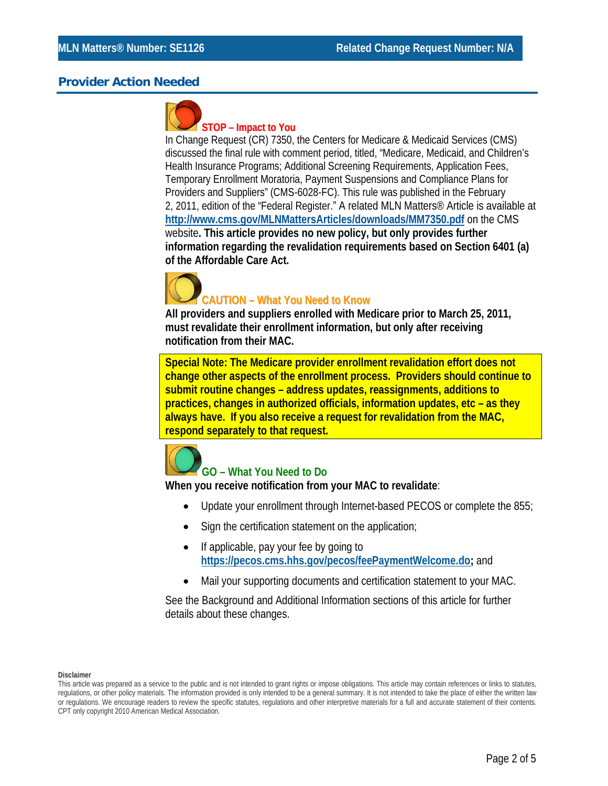# **Provider Action Needed**



### **STOP – Impact to You**

In Change Request (CR) 7350, the Centers for Medicare & Medicaid Services (CMS) discussed the final rule with comment period, titled, "Medicare, Medicaid, and Children's Health Insurance Programs; Additional Screening Requirements, Application Fees, Temporary Enrollment Moratoria, Payment Suspensions and Compliance Plans for Providers and Suppliers" (CMS-6028-FC). This rule was published in the February 2, 2011, edition of the "Federal Register." A related MLN Matters® Article is available at **<http://www.cms.gov/MLNMattersArticles/downloads/MM7350.pdf>** on the CMS website**. This article provides no new policy, but only provides further information regarding the revalidation requirements based on Section 6401 (a) of the Affordable Care Act.**



**All providers and suppliers enrolled with Medicare prior to March 25, 2011, must revalidate their enrollment information, but only after receiving notification from their MAC.**

**Special Note: The Medicare provider enrollment revalidation effort does not change other aspects of the enrollment process. Providers should continue to submit routine changes – address updates, reassignments, additions to practices, changes in authorized officials, information updates, etc – as they always have. If you also receive a request for revalidation from the MAC, respond separately to that request.**



# **GO – What You Need to Do**

**When you receive notification from your MAC to revalidate**:

- Update your enrollment through Internet-based PECOS or complete the 855;
- Sign the certification statement on the application;
- If applicable, pay your fee by going to **[https://pecos.cms.hhs.gov/pecos/feePaymentWelcome.do;](https://pecos.cms.hhs.gov/pecos/feePaymentWelcome.do)** and
- Mail your supporting documents and certification statement to your MAC.

See the Background and Additional Information sections of this article for further details about these changes.

This article was prepared as a service to the public and is not intended to grant rights or impose obligations. This article may contain references or links to statutes, regulations, or other policy materials. The information provided is only intended to be a general summary. It is not intended to take the place of either the written law or regulations. We encourage readers to review the specific statutes, regulations and other interpretive materials for a full and accurate statement of their contents. CPT only copyright 2010 American Medical Association.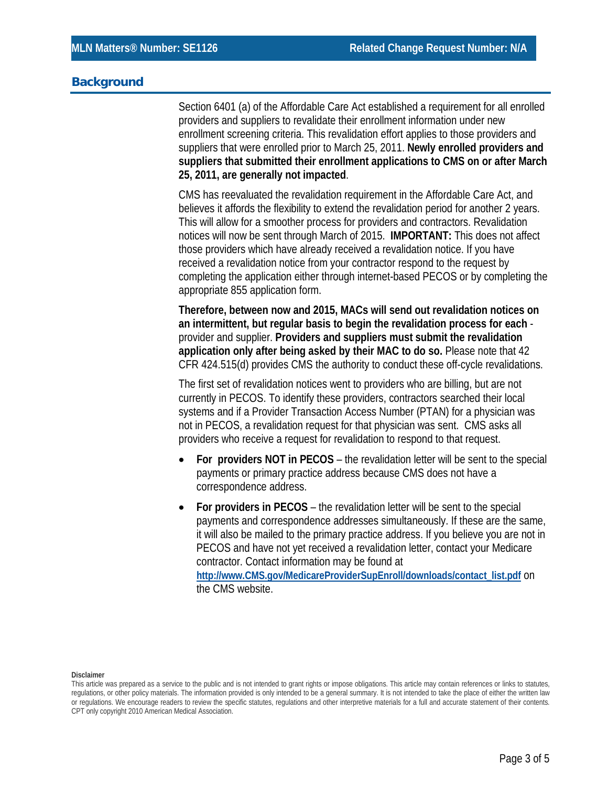#### **Background**

Section 6401 (a) of the Affordable Care Act established a requirement for all enrolled providers and suppliers to revalidate their enrollment information under new enrollment screening criteria. This revalidation effort applies to those providers and suppliers that were enrolled prior to March 25, 2011. **Newly enrolled providers and suppliers that submitted their enrollment applications to CMS on or after March 25, 2011, are generally not impacted**.

CMS has reevaluated the revalidation requirement in the Affordable Care Act, and believes it affords the flexibility to extend the revalidation period for another 2 years. This will allow for a smoother process for providers and contractors. Revalidation notices will now be sent through March of 2015. **IMPORTANT:** This does not affect those providers which have already received a revalidation notice. If you have received a revalidation notice from your contractor respond to the request by completing the application either through internet-based PECOS or by completing the appropriate 855 application form.

**Therefore, between now and 2015, MACs will send out revalidation notices on an intermittent, but regular basis to begin the revalidation process for each**  provider and supplier. **Providers and suppliers must submit the revalidation application only after being asked by their MAC to do so.** Please note that 42 CFR 424.515(d) provides CMS the authority to conduct these off-cycle revalidations.

The first set of revalidation notices went to providers who are billing, but are not currently in PECOS. To identify these providers, contractors searched their local systems and if a Provider Transaction Access Number (PTAN) for a physician was not in PECOS, a revalidation request for that physician was sent. CMS asks all providers who receive a request for revalidation to respond to that request.

- **For providers NOT in PECOS** the revalidation letter will be sent to the special payments or primary practice address because CMS does not have a correspondence address.
- **For providers in PECOS** the revalidation letter will be sent to the special payments and correspondence addresses simultaneously. If these are the same, it will also be mailed to the primary practice address. If you believe you are not in PECOS and have not yet received a revalidation letter, contact your Medicare contractor. Contact information may be found at **[http://www.CMS.gov/MedicareProviderSupEnroll/downloads/contact\\_list.pdf](http://www.cms.gov/MedicareProviderSupEnroll/downloads/contact_list.pdf)** on the CMS website.

This article was prepared as a service to the public and is not intended to grant rights or impose obligations. This article may contain references or links to statutes, regulations, or other policy materials. The information provided is only intended to be a general summary. It is not intended to take the place of either the written law or regulations. We encourage readers to review the specific statutes, regulations and other interpretive materials for a full and accurate statement of their contents. CPT only copyright 2010 American Medical Association.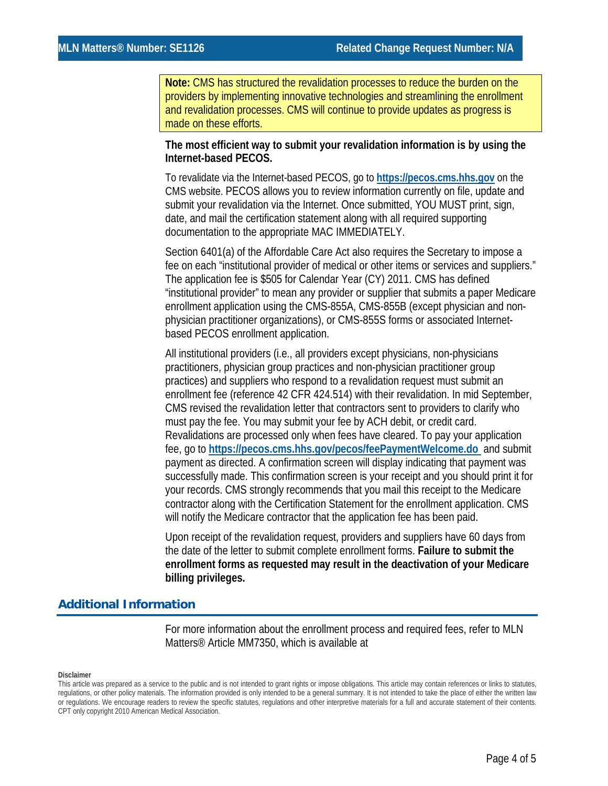**Note:** CMS has structured the revalidation processes to reduce the burden on the providers by implementing innovative technologies and streamlining the enrollment and revalidation processes. CMS will continue to provide updates as progress is made on these efforts.

#### **The most efficient way to submit your revalidation information is by using the Internet-based PECOS.**

To revalidate via the Internet-based PECOS, go to **[https://pecos.cms.hhs.gov](https://pecos.cms.hhs.gov/)** on the CMS website. PECOS allows you to review information currently on file, update and submit your revalidation via the Internet. Once submitted, YOU MUST print, sign, date, and mail the certification statement along with all required supporting documentation to the appropriate MAC IMMEDIATELY.

Section 6401(a) of the Affordable Care Act also requires the Secretary to impose a fee on each "institutional provider of medical or other items or services and suppliers." The application fee is \$505 for Calendar Year (CY) 2011. CMS has defined "institutional provider" to mean any provider or supplier that submits a paper Medicare enrollment application using the CMS-855A, CMS-855B (except physician and nonphysician practitioner organizations), or CMS-855S forms or associated Internetbased PECOS enrollment application.

All institutional providers (i.e., all providers except physicians, non-physicians practitioners, physician group practices and non-physician practitioner group practices) and suppliers who respond to a revalidation request must submit an enrollment fee (reference 42 CFR 424.514) with their revalidation. In mid September, CMS revised the revalidation letter that contractors sent to providers to clarify who must pay the fee. You may submit your fee by ACH debit, or credit card. Revalidations are processed only when fees have cleared. To pay your application fee, go to **<https://pecos.cms.hhs.gov/pecos/feePaymentWelcome.do>** and submit payment as directed. A confirmation screen will display indicating that payment was successfully made. This confirmation screen is your receipt and you should print it for your records. CMS strongly recommends that you mail this receipt to the Medicare contractor along with the Certification Statement for the enrollment application. CMS will notify the Medicare contractor that the application fee has been paid.

Upon receipt of the revalidation request, providers and suppliers have 60 days from the date of the letter to submit complete enrollment forms. **Failure to submit the enrollment forms as requested may result in the deactivation of your Medicare billing privileges.**

## **Additional Information**

For more information about the enrollment process and required fees, refer to MLN Matters® Article MM7350, which is available at

This article was prepared as a service to the public and is not intended to grant rights or impose obligations. This article may contain references or links to statutes, regulations, or other policy materials. The information provided is only intended to be a general summary. It is not intended to take the place of either the written law or regulations. We encourage readers to review the specific statutes, regulations and other interpretive materials for a full and accurate statement of their contents. CPT only copyright 2010 American Medical Association.